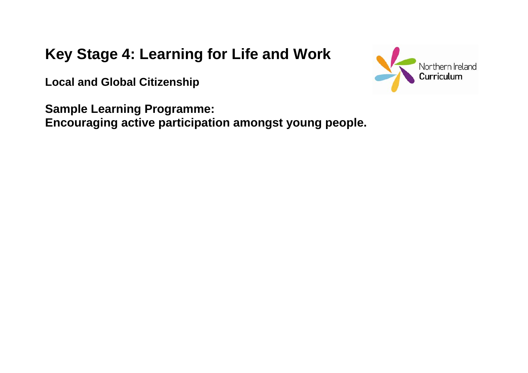# **Key Stage 4: Learning for Life and Work**

**Local and Global Citizenship** 

**Sample Learning Programme: Encouraging active participation amongst young people.**

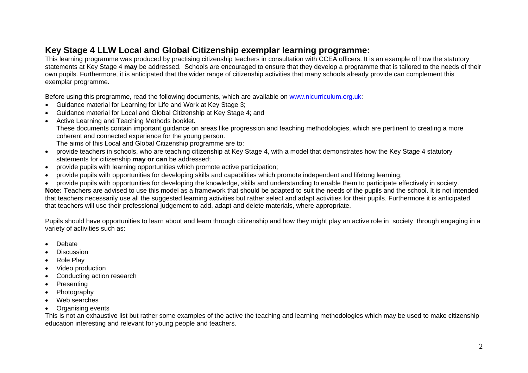This learning programme was produced by practising citizenship teachers in consultation with CCEA officers. It is an example of how the statutory statements at Key Stage 4 **may** be addressed. Schools are encouraged to ensure that they develop a programme that is tailored to the needs of their own pupils. Furthermore, it is anticipated that the wider range of citizenship activities that many schools already provide can complement this exemplar programme.

Before using this programme, read the following documents, which are available on [www.nicurriculum.org.uk](http://www.nicurriculum.org.uk/):

- Guidance material for Learning for Life and Work at Key Stage 3;
- Guidance material for Local and Global Citizenship at Key Stage 4; and
- Active Learning and Teaching Methods booklet.

These documents contain important guidance on areas like progression and teaching methodologies, which are pertinent to creating a more coherent and connected experience for the young person.

The aims of this Local and Global Citizenship programme are to:

- provide teachers in schools, who are teaching citizenship at Key Stage 4, with a model that demonstrates how the Key Stage 4 statutory statements for citizenship **may or can** be addressed;
- provide pupils with learning opportunities which promote active participation;
- provide pupils with opportunities for developing skills and capabilities which promote independent and lifelong learning;
- provide pupils with opportunities for developing the knowledge, skills and understanding to enable them to participate effectively in society. **Note:** Teachers are advised to use this model as a framework that should be adapted to suit the needs of the pupils and the school. It is not intended that teachers necessarily use all the suggested learning activities but rather select and adapt activities for their pupils. Furthermore it is anticipated that teachers will use their professional judgement to add, adapt and delete materials, where appropriate.

Pupils should have opportunities to learn about and learn through citizenship and how they might play an active role in society through engaging in a variety of activities such as:

- Debate
- **Discussion**
- Role Play
- Video production
- Conducting action research
- **Presenting**
- Photography
- Web searches
- Organising events

This is not an exhaustive list but rather some examples of the active the teaching and learning methodologies which may be used to make citizenship education interesting and relevant for young people and teachers.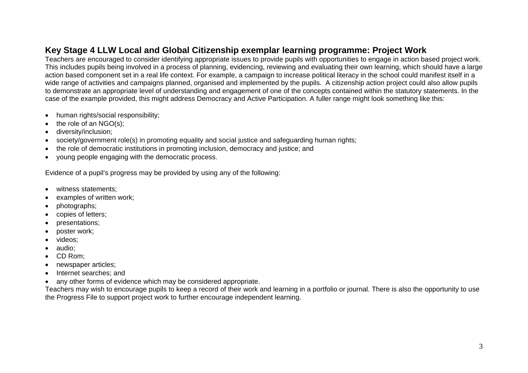#### **Key Stage 4 LLW Local and Global Citizenship exemplar learning programme: Project Work**

Teachers are encouraged to consider identifying appropriate issues to provide pupils with opportunities to engage in action based project work. This includes pupils being involved in a process of planning, evidencing, reviewing and evaluating their own learning, which should have a large action based component set in a real life context. For example, a campaign to increase political literacy in the school could manifest itself in a wide range of activities and campaigns planned, organised and implemented by the pupils. A citizenship action project could also allow pupils to demonstrate an appropriate level of understanding and engagement of one of the concepts contained within the statutory statements. In the case of the example provided, this might address Democracy and Active Participation. A fuller range might look something like this:

- human rights/social responsibility:
- the role of an  $NGO(s)$ ;
- diversity/inclusion;
- society/government role(s) in promoting equality and social justice and safeguarding human rights;
- the role of democratic institutions in promoting inclusion, democracy and justice; and
- young people engaging with the democratic process.

Evidence of a pupil's progress may be provided by using any of the following:

- witness statements:
- examples of written work;
- photographs;
- copies of letters;
- presentations;
- poster work;
- videos:
- audio;
- CD Rom;
- newspaper articles;
- Internet searches; and
- any other forms of evidence which may be considered appropriate.

Teachers may wish to encourage pupils to keep a record of their work and learning in a portfolio or journal. There is also the opportunity to use the Progress File to support project work to further encourage independent learning.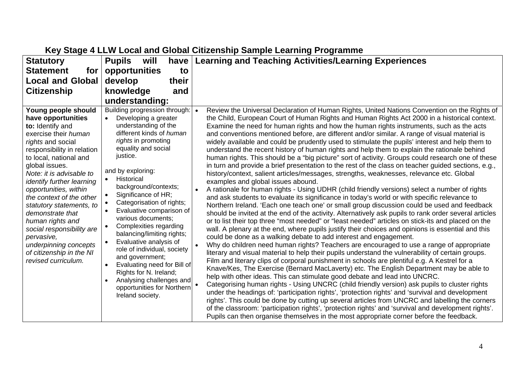| <b>Statutory</b>                                                                                                                                                                                                                                                                                                                                                                                                                                                                              | <b>Pupils</b><br>will<br>have                                                                                                                                                                                                                                                                                                                                                                                                                                                                                                                                                                                                                                       | <b>Learning and Teaching Activities/Learning Experiences</b>                                                                                                                                                                                                                                                                                                                                                                                                                                                                                                                                                                                                                                                                                                                                                                                                                                                                                                                                                                                                                                                                                                                                                                                                                                                                                                                                                                                                                                                                                                                                                                                                                                                                                                                                                                                                                                                                                                                                                                                                                                                                                                                                                                                                                                                                                                                                                                                                                                                                                                                                                                         |
|-----------------------------------------------------------------------------------------------------------------------------------------------------------------------------------------------------------------------------------------------------------------------------------------------------------------------------------------------------------------------------------------------------------------------------------------------------------------------------------------------|---------------------------------------------------------------------------------------------------------------------------------------------------------------------------------------------------------------------------------------------------------------------------------------------------------------------------------------------------------------------------------------------------------------------------------------------------------------------------------------------------------------------------------------------------------------------------------------------------------------------------------------------------------------------|--------------------------------------------------------------------------------------------------------------------------------------------------------------------------------------------------------------------------------------------------------------------------------------------------------------------------------------------------------------------------------------------------------------------------------------------------------------------------------------------------------------------------------------------------------------------------------------------------------------------------------------------------------------------------------------------------------------------------------------------------------------------------------------------------------------------------------------------------------------------------------------------------------------------------------------------------------------------------------------------------------------------------------------------------------------------------------------------------------------------------------------------------------------------------------------------------------------------------------------------------------------------------------------------------------------------------------------------------------------------------------------------------------------------------------------------------------------------------------------------------------------------------------------------------------------------------------------------------------------------------------------------------------------------------------------------------------------------------------------------------------------------------------------------------------------------------------------------------------------------------------------------------------------------------------------------------------------------------------------------------------------------------------------------------------------------------------------------------------------------------------------------------------------------------------------------------------------------------------------------------------------------------------------------------------------------------------------------------------------------------------------------------------------------------------------------------------------------------------------------------------------------------------------------------------------------------------------------------------------------------------------|
| <b>Statement</b><br>for                                                                                                                                                                                                                                                                                                                                                                                                                                                                       | opportunities<br>to                                                                                                                                                                                                                                                                                                                                                                                                                                                                                                                                                                                                                                                 |                                                                                                                                                                                                                                                                                                                                                                                                                                                                                                                                                                                                                                                                                                                                                                                                                                                                                                                                                                                                                                                                                                                                                                                                                                                                                                                                                                                                                                                                                                                                                                                                                                                                                                                                                                                                                                                                                                                                                                                                                                                                                                                                                                                                                                                                                                                                                                                                                                                                                                                                                                                                                                      |
| <b>Local and Global</b>                                                                                                                                                                                                                                                                                                                                                                                                                                                                       | develop<br>their                                                                                                                                                                                                                                                                                                                                                                                                                                                                                                                                                                                                                                                    |                                                                                                                                                                                                                                                                                                                                                                                                                                                                                                                                                                                                                                                                                                                                                                                                                                                                                                                                                                                                                                                                                                                                                                                                                                                                                                                                                                                                                                                                                                                                                                                                                                                                                                                                                                                                                                                                                                                                                                                                                                                                                                                                                                                                                                                                                                                                                                                                                                                                                                                                                                                                                                      |
| <b>Citizenship</b>                                                                                                                                                                                                                                                                                                                                                                                                                                                                            | knowledge<br>and                                                                                                                                                                                                                                                                                                                                                                                                                                                                                                                                                                                                                                                    |                                                                                                                                                                                                                                                                                                                                                                                                                                                                                                                                                                                                                                                                                                                                                                                                                                                                                                                                                                                                                                                                                                                                                                                                                                                                                                                                                                                                                                                                                                                                                                                                                                                                                                                                                                                                                                                                                                                                                                                                                                                                                                                                                                                                                                                                                                                                                                                                                                                                                                                                                                                                                                      |
|                                                                                                                                                                                                                                                                                                                                                                                                                                                                                               | understanding:                                                                                                                                                                                                                                                                                                                                                                                                                                                                                                                                                                                                                                                      |                                                                                                                                                                                                                                                                                                                                                                                                                                                                                                                                                                                                                                                                                                                                                                                                                                                                                                                                                                                                                                                                                                                                                                                                                                                                                                                                                                                                                                                                                                                                                                                                                                                                                                                                                                                                                                                                                                                                                                                                                                                                                                                                                                                                                                                                                                                                                                                                                                                                                                                                                                                                                                      |
| Young people should<br>have opportunities<br>to: Identify and<br>exercise their human<br>rights and social<br>responsibility in relation<br>to local, national and<br>global issues.<br>Note: it is advisable to<br>identify further learning<br>opportunities, within<br>the context of the other<br>statutory statements, to<br>demonstrate that<br>human rights and<br>social responsibility are<br>pervasive,<br>underpinning concepts<br>of citizenship in the NI<br>revised curriculum. | Building progression through:<br>Developing a greater<br>understanding of the<br>different kinds of human<br>rights in promoting<br>equality and social<br>justice.<br>and by exploring:<br>Historical<br>background/contexts;<br>Significance of HR;<br>$\bullet$<br>Categorisation of rights;<br>Evaluative comparison of<br>various documents;<br>Complexities regarding<br>$\bullet$<br>balancing/limiting rights;<br>Evaluative analysis of<br>$\bullet$<br>role of individual, society<br>and government;<br>Evaluating need for Bill of<br>Rights for N. Ireland;<br>Analysing challenges and<br>$\bullet$<br>opportunities for Northern<br>Ireland society. | Review the Universal Declaration of Human Rights, United Nations Convention on the Rights of<br>$\bullet$<br>the Child, European Court of Human Rights and Human Rights Act 2000 in a historical context.<br>Examine the need for human rights and how the human rights instruments, such as the acts<br>and conventions mentioned before, are different and/or similar. A range of visual material is<br>widely available and could be prudently used to stimulate the pupils' interest and help them to<br>understand the recent history of human rights and help them to explain the rationale behind<br>human rights. This should be a "big picture" sort of activity. Groups could research one of these<br>in turn and provide a brief presentation to the rest of the class on teacher guided sections, e.g.,<br>history/context, salient articles/messages, strengths, weaknesses, relevance etc. Global<br>examples and global issues abound.<br>A rationale for human rights - Using UDHR (child friendly versions) select a number of rights<br>and ask students to evaluate its significance in today's world or with specific relevance to<br>Northern Ireland. 'Each one teach one' or small group discussion could be used and feedback<br>should be invited at the end of the activity. Alternatively ask pupils to rank order several articles<br>or to list their top three "most needed" or "least needed" articles on stick-its and placed on the<br>wall. A plenary at the end, where pupils justify their choices and opinions is essential and this<br>could be done as a walking debate to add interest and engagement.<br>Why do children need human rights? Teachers are encouraged to use a range of appropriate<br>literary and visual material to help their pupils understand the vulnerability of certain groups.<br>Film and literary clips of corporal punishment in schools are plentiful e.g. A Kestrel for a<br>Knave/Kes, The Exercise (Bernard MacLaverty) etc. The English Department may be able to<br>help with other ideas. This can stimulate good debate and lead into UNCRC.<br>Categorising human rights - Using UNCRC (child friendly version) ask pupils to cluster rights<br>under the headings of: 'participation rights', 'protection rights' and 'survival and development<br>rights'. This could be done by cutting up several articles from UNCRC and labelling the corners<br>of the classroom: 'participation rights', 'protection rights' and 'survival and development rights'.<br>Pupils can then organise themselves in the most appropriate corner before the feedback. |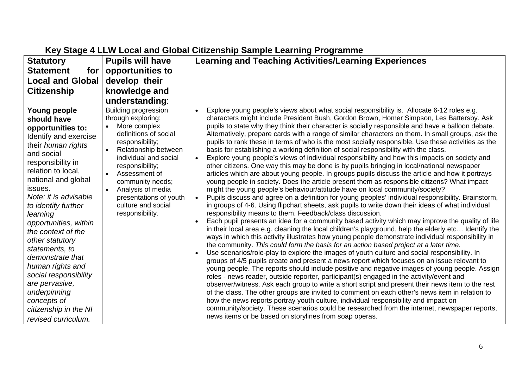| <b>Statutory</b><br><b>Statement</b><br>for                                                                                                                                                                                                                                                                                                                                                                                                                                                                  | <b>Pupils will have</b><br>opportunities to                                                                                                                                                                                                                                                                                              | <b>Learning and Teaching Activities/Learning Experiences</b>                                                                                                                                                                                                                                                                                                                                                                                                                                                                                                                                                                                                                                                                                                                                                                                                                                                                                                                                                                                                                                                                                                                                                                                                                                                                                                                                                                                                                                                                                                                                                                                                                                                                                                                                                                                                                                                                                                                                                                                                                                                                                                                                                                                                                                                                                                                                                                                                                                                                                                                                                       |
|--------------------------------------------------------------------------------------------------------------------------------------------------------------------------------------------------------------------------------------------------------------------------------------------------------------------------------------------------------------------------------------------------------------------------------------------------------------------------------------------------------------|------------------------------------------------------------------------------------------------------------------------------------------------------------------------------------------------------------------------------------------------------------------------------------------------------------------------------------------|--------------------------------------------------------------------------------------------------------------------------------------------------------------------------------------------------------------------------------------------------------------------------------------------------------------------------------------------------------------------------------------------------------------------------------------------------------------------------------------------------------------------------------------------------------------------------------------------------------------------------------------------------------------------------------------------------------------------------------------------------------------------------------------------------------------------------------------------------------------------------------------------------------------------------------------------------------------------------------------------------------------------------------------------------------------------------------------------------------------------------------------------------------------------------------------------------------------------------------------------------------------------------------------------------------------------------------------------------------------------------------------------------------------------------------------------------------------------------------------------------------------------------------------------------------------------------------------------------------------------------------------------------------------------------------------------------------------------------------------------------------------------------------------------------------------------------------------------------------------------------------------------------------------------------------------------------------------------------------------------------------------------------------------------------------------------------------------------------------------------------------------------------------------------------------------------------------------------------------------------------------------------------------------------------------------------------------------------------------------------------------------------------------------------------------------------------------------------------------------------------------------------------------------------------------------------------------------------------------------------|
| <b>Local and Global</b>                                                                                                                                                                                                                                                                                                                                                                                                                                                                                      | develop their                                                                                                                                                                                                                                                                                                                            |                                                                                                                                                                                                                                                                                                                                                                                                                                                                                                                                                                                                                                                                                                                                                                                                                                                                                                                                                                                                                                                                                                                                                                                                                                                                                                                                                                                                                                                                                                                                                                                                                                                                                                                                                                                                                                                                                                                                                                                                                                                                                                                                                                                                                                                                                                                                                                                                                                                                                                                                                                                                                    |
| <b>Citizenship</b>                                                                                                                                                                                                                                                                                                                                                                                                                                                                                           | knowledge and                                                                                                                                                                                                                                                                                                                            |                                                                                                                                                                                                                                                                                                                                                                                                                                                                                                                                                                                                                                                                                                                                                                                                                                                                                                                                                                                                                                                                                                                                                                                                                                                                                                                                                                                                                                                                                                                                                                                                                                                                                                                                                                                                                                                                                                                                                                                                                                                                                                                                                                                                                                                                                                                                                                                                                                                                                                                                                                                                                    |
|                                                                                                                                                                                                                                                                                                                                                                                                                                                                                                              | understanding:                                                                                                                                                                                                                                                                                                                           |                                                                                                                                                                                                                                                                                                                                                                                                                                                                                                                                                                                                                                                                                                                                                                                                                                                                                                                                                                                                                                                                                                                                                                                                                                                                                                                                                                                                                                                                                                                                                                                                                                                                                                                                                                                                                                                                                                                                                                                                                                                                                                                                                                                                                                                                                                                                                                                                                                                                                                                                                                                                                    |
| Young people<br>should have<br>opportunities to:<br>Identify and exercise<br>their human rights<br>and social<br>responsibility in<br>relation to local,<br>national and global<br>issues.<br>Note: it is advisable<br>to identify further<br>learning<br>opportunities, within<br>the context of the<br>other statutory<br>statements, to<br>demonstrate that<br>human rights and<br>social responsibility<br>are pervasive,<br>underpinning<br>concepts of<br>citizenship in the NI<br>revised curriculum. | <b>Building progression</b><br>through exploring:<br>More complex<br>definitions of social<br>responsibility;<br>Relationship between<br>$\bullet$<br>individual and social<br>responsibility;<br>Assessment of<br>community needs;<br>Analysis of media<br>$\bullet$<br>presentations of youth<br>culture and social<br>responsibility. | Explore young people's views about what social responsibility is. Allocate 6-12 roles e.g.<br>characters might include President Bush, Gordon Brown, Homer Simpson, Les Battersby. Ask<br>pupils to state why they think their character is socially responsible and have a balloon debate.<br>Alternatively, prepare cards with a range of similar characters on them. In small groups, ask the<br>pupils to rank these in terms of who is the most socially responsible. Use these activities as the<br>basis for establishing a working definition of social responsibility with the class.<br>Explore young people's views of individual responsibility and how this impacts on society and<br>other citizens. One way this may be done is by pupils bringing in local/national newspaper<br>articles which are about young people. In groups pupils discuss the article and how it portrays<br>young people in society. Does the article present them as responsible citizens? What impact<br>might the young people's behaviour/attitude have on local community/society?<br>Pupils discuss and agree on a definition for young peoples' individual responsibility. Brainstorm,<br>in groups of 4-6. Using flipchart sheets, ask pupils to write down their ideas of what individual<br>responsibility means to them. Feedback/class discussion.<br>Each pupil presents an idea for a community based activity which may improve the quality of life<br>in their local area e.g. cleaning the local children's playground, help the elderly etc Identify the<br>ways in which this activity illustrates how young people demonstrate individual responsibility in<br>the community. This could form the basis for an action based project at a later time.<br>Use scenarios/role-play to explore the images of youth culture and social responsibility. In<br>groups of 4/5 pupils create and present a news report which focuses on an issue relevant to<br>young people. The reports should include positive and negative images of young people. Assign<br>roles - news reader, outside reporter, participant(s) engaged in the activity/event and<br>observer/witness. Ask each group to write a short script and present their news item to the rest<br>of the class. The other groups are invited to comment on each other's news item in relation to<br>how the news reports portray youth culture, individual responsibility and impact on<br>community/society. These scenarios could be researched from the internet, newspaper reports,<br>news items or be based on storylines from soap operas. |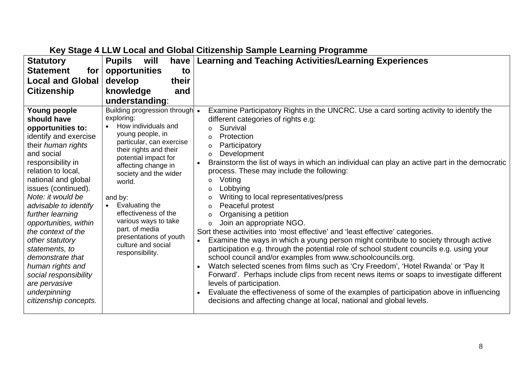| <b>Statutory</b><br><b>Statement</b><br>for<br><b>Local and Global</b>                                                                                                                                                                                                                                                                                                                                                                                                                  | <b>Pupils</b><br>will<br>have<br>opportunities<br>to<br>develop<br>their                                                                                                                                                                                                                                                                                                                                       | <b>Learning and Teaching Activities/Learning Experiences</b>                                                                                                                                                                                                                                                                                                                                                                                                                                                                                                                                                                                                                                                                                                                                                                                                                                                                                                                                                                                                                                                                                                                                                                                                                                                    |
|-----------------------------------------------------------------------------------------------------------------------------------------------------------------------------------------------------------------------------------------------------------------------------------------------------------------------------------------------------------------------------------------------------------------------------------------------------------------------------------------|----------------------------------------------------------------------------------------------------------------------------------------------------------------------------------------------------------------------------------------------------------------------------------------------------------------------------------------------------------------------------------------------------------------|-----------------------------------------------------------------------------------------------------------------------------------------------------------------------------------------------------------------------------------------------------------------------------------------------------------------------------------------------------------------------------------------------------------------------------------------------------------------------------------------------------------------------------------------------------------------------------------------------------------------------------------------------------------------------------------------------------------------------------------------------------------------------------------------------------------------------------------------------------------------------------------------------------------------------------------------------------------------------------------------------------------------------------------------------------------------------------------------------------------------------------------------------------------------------------------------------------------------------------------------------------------------------------------------------------------------|
| <b>Citizenship</b>                                                                                                                                                                                                                                                                                                                                                                                                                                                                      | knowledge<br>and<br>understanding:                                                                                                                                                                                                                                                                                                                                                                             |                                                                                                                                                                                                                                                                                                                                                                                                                                                                                                                                                                                                                                                                                                                                                                                                                                                                                                                                                                                                                                                                                                                                                                                                                                                                                                                 |
| Young people<br>should have<br>opportunities to:<br>identify and exercise<br>their human rights<br>and social<br>responsibility in<br>relation to local,<br>national and global<br>issues (continued).<br>Note: it would be<br>advisable to identify<br>further learning<br>opportunities, within<br>the context of the<br>other statutory<br>statements, to<br>demonstrate that<br>human rights and<br>social responsibility<br>are pervasive<br>underpinning<br>citizenship concepts. | Building progression through •<br>exploring:<br>How individuals and<br>young people, in<br>particular, can exercise<br>their rights and their<br>potential impact for<br>affecting change in<br>society and the wider<br>world.<br>and by:<br>Evaluating the<br>$\bullet$<br>effectiveness of the<br>various ways to take<br>part. of media<br>presentations of youth<br>culture and social<br>responsibility. | Examine Participatory Rights in the UNCRC. Use a card sorting activity to identify the<br>different categories of rights e.g:<br>Survival<br>$\circ$<br>Protection<br>$\circ$<br>Participatory<br>$\circ$<br>Development<br>$\circ$<br>Brainstorm the list of ways in which an individual can play an active part in the democratic<br>process. These may include the following:<br>Voting<br>$\circ$<br>Lobbying<br>$\circ$<br>Writing to local representatives/press<br>$\circ$<br>Peaceful protest<br>$\circ$<br>Organising a petition<br>$\circ$<br>Join an appropriate NGO.<br>$\circ$<br>Sort these activities into 'most effective' and 'least effective' categories.<br>Examine the ways in which a young person might contribute to society through active<br>participation e.g. through the potential role of school student councils e.g. using your<br>school council and/or examples from www.schoolcouncils.org.<br>Watch selected scenes from films such as 'Cry Freedom', 'Hotel Rwanda' or 'Pay It<br>Forward'. Perhaps include clips from recent news items or soaps to investigate different<br>levels of participation.<br>Evaluate the effectiveness of some of the examples of participation above in influencing<br>decisions and affecting change at local, national and global levels. |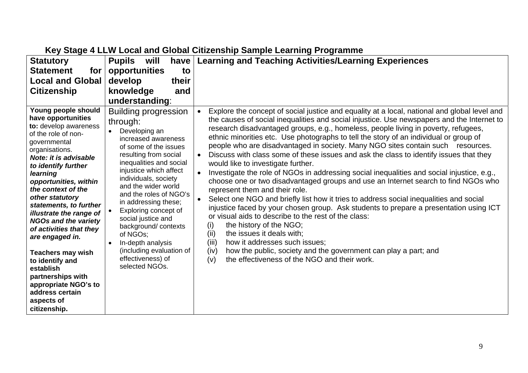| <b>Statutory</b>                                                                                                                                                                                                                                                                                                                                                                                                                                                                                                                                             | <b>Pupils</b><br>will<br>have                                                                                                                                                                                                                                                                                                                                                                                                                                                 | <b>Learning and Teaching Activities/Learning Experiences</b>                                                                                                                                                                                                                                                                                                                                                                                                                                                                                                                                                                                                                                                                                                                                                                                                                                                                                                                                                                                                                                                                                                                                                                                                                                                                                            |
|--------------------------------------------------------------------------------------------------------------------------------------------------------------------------------------------------------------------------------------------------------------------------------------------------------------------------------------------------------------------------------------------------------------------------------------------------------------------------------------------------------------------------------------------------------------|-------------------------------------------------------------------------------------------------------------------------------------------------------------------------------------------------------------------------------------------------------------------------------------------------------------------------------------------------------------------------------------------------------------------------------------------------------------------------------|---------------------------------------------------------------------------------------------------------------------------------------------------------------------------------------------------------------------------------------------------------------------------------------------------------------------------------------------------------------------------------------------------------------------------------------------------------------------------------------------------------------------------------------------------------------------------------------------------------------------------------------------------------------------------------------------------------------------------------------------------------------------------------------------------------------------------------------------------------------------------------------------------------------------------------------------------------------------------------------------------------------------------------------------------------------------------------------------------------------------------------------------------------------------------------------------------------------------------------------------------------------------------------------------------------------------------------------------------------|
| <b>Statement</b><br>for                                                                                                                                                                                                                                                                                                                                                                                                                                                                                                                                      | opportunities<br>to<br>their                                                                                                                                                                                                                                                                                                                                                                                                                                                  |                                                                                                                                                                                                                                                                                                                                                                                                                                                                                                                                                                                                                                                                                                                                                                                                                                                                                                                                                                                                                                                                                                                                                                                                                                                                                                                                                         |
| <b>Local and Global</b><br><b>Citizenship</b>                                                                                                                                                                                                                                                                                                                                                                                                                                                                                                                | develop<br>knowledge<br>and                                                                                                                                                                                                                                                                                                                                                                                                                                                   |                                                                                                                                                                                                                                                                                                                                                                                                                                                                                                                                                                                                                                                                                                                                                                                                                                                                                                                                                                                                                                                                                                                                                                                                                                                                                                                                                         |
|                                                                                                                                                                                                                                                                                                                                                                                                                                                                                                                                                              | understanding:                                                                                                                                                                                                                                                                                                                                                                                                                                                                |                                                                                                                                                                                                                                                                                                                                                                                                                                                                                                                                                                                                                                                                                                                                                                                                                                                                                                                                                                                                                                                                                                                                                                                                                                                                                                                                                         |
| Young people should<br>have opportunities<br>to: develop awareness<br>of the role of non-<br>governmental<br>organisations.<br><b>Note: it is advisable</b><br>to identify further<br>learning<br>opportunities, within<br>the context of the<br>other statutory<br>statements, to further<br>illustrate the range of<br><b>NGOs and the variety</b><br>of activities that they<br>are engaged in.<br><b>Teachers may wish</b><br>to identify and<br>establish<br>partnerships with<br>appropriate NGO's to<br>address certain<br>aspects of<br>citizenship. | <b>Building progression</b><br>through:<br>Developing an<br>increased awareness<br>of some of the issues<br>resulting from social<br>inequalities and social<br>injustice which affect<br>individuals, society<br>and the wider world<br>and the roles of NGO's<br>in addressing these;<br>Exploring concept of<br>social justice and<br>background/contexts<br>of NGOs;<br>In-depth analysis<br>$\bullet$<br>(including evaluation of<br>effectiveness) of<br>selected NGOs. | Explore the concept of social justice and equality at a local, national and global level and<br>the causes of social inequalities and social injustice. Use newspapers and the Internet to<br>research disadvantaged groups, e.g., homeless, people living in poverty, refugees,<br>ethnic minorities etc. Use photographs to tell the story of an individual or group of<br>people who are disadvantaged in society. Many NGO sites contain such resources.<br>Discuss with class some of these issues and ask the class to identify issues that they<br>$\bullet$<br>would like to investigate further.<br>Investigate the role of NGOs in addressing social inequalities and social injustice, e.g.,<br>$\bullet$<br>choose one or two disadvantaged groups and use an Internet search to find NGOs who<br>represent them and their role.<br>Select one NGO and briefly list how it tries to address social inequalities and social<br>$\bullet$<br>injustice faced by your chosen group. Ask students to prepare a presentation using ICT<br>or visual aids to describe to the rest of the class:<br>the history of the NGO;<br>(i)<br>(i)<br>the issues it deals with;<br>(iii)<br>how it addresses such issues;<br>how the public, society and the government can play a part; and<br>(iv)<br>the effectiveness of the NGO and their work.<br>(v) |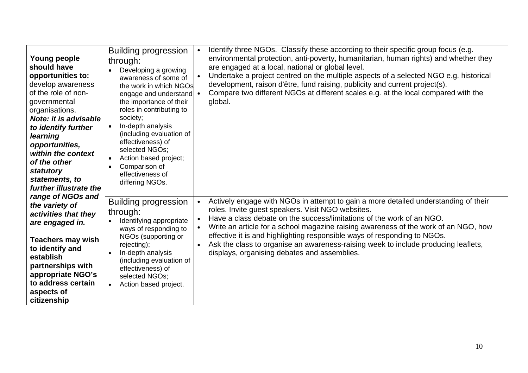| Young people<br>should have<br>opportunities to:<br>develop awareness<br>of the role of non-<br>governmental<br>organisations.<br>Note: it is advisable<br>to identify further<br>learning<br>opportunities,<br>within the context<br>$\bullet$<br>of the other<br>statutory<br>statements, to<br>further illustrate the | <b>Building progression</b><br>through:<br>Developing a growing<br>awareness of some of<br>the work in which NGOs<br>engage and understand   •<br>the importance of their<br>roles in contributing to<br>society;<br>In-depth analysis<br>(including evaluation of<br>effectiveness) of<br>selected NGOs;<br>Action based project;<br>Comparison of<br>effectiveness of<br>differing NGOs. | Identify three NGOs. Classify these according to their specific group focus (e.g.<br>$\bullet$<br>environmental protection, anti-poverty, humanitarian, human rights) and whether they<br>are engaged at a local, national or global level.<br>Undertake a project centred on the multiple aspects of a selected NGO e.g. historical<br>development, raison d'être, fund raising, publicity and current project(s).<br>Compare two different NGOs at different scales e.g. at the local compared with the<br>global.                    |
|--------------------------------------------------------------------------------------------------------------------------------------------------------------------------------------------------------------------------------------------------------------------------------------------------------------------------|--------------------------------------------------------------------------------------------------------------------------------------------------------------------------------------------------------------------------------------------------------------------------------------------------------------------------------------------------------------------------------------------|-----------------------------------------------------------------------------------------------------------------------------------------------------------------------------------------------------------------------------------------------------------------------------------------------------------------------------------------------------------------------------------------------------------------------------------------------------------------------------------------------------------------------------------------|
| range of NGOs and<br>the variety of<br>activities that they<br>are engaged in.<br><b>Teachers may wish</b><br>to identify and<br>establish<br>partnerships with<br>appropriate NGO's<br>to address certain<br>aspects of<br>citizenship                                                                                  | <b>Building progression</b><br>through:<br>Identifying appropriate<br>ways of responding to<br>NGOs (supporting or<br>rejecting);<br>In-depth analysis<br>(including evaluation of<br>effectiveness) of<br>selected NGOs;<br>Action based project.<br>$\bullet$                                                                                                                            | Actively engage with NGOs in attempt to gain a more detailed understanding of their<br>roles. Invite guest speakers. Visit NGO websites.<br>Have a class debate on the success/limitations of the work of an NGO.<br>Write an article for a school magazine raising awareness of the work of an NGO, how<br>effective it is and highlighting responsible ways of responding to NGOs.<br>Ask the class to organise an awareness-raising week to include producing leaflets,<br>$\bullet$<br>displays, organising debates and assemblies. |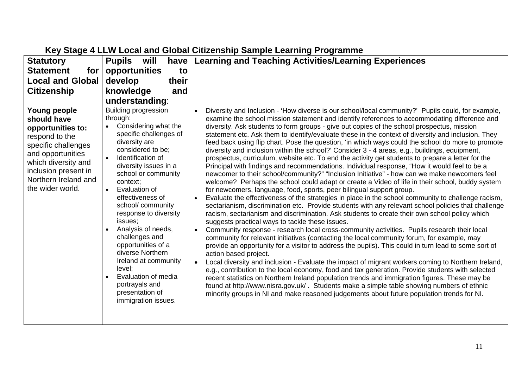| <b>Statutory</b>                                                                                                                                                                                          | <b>Pupils</b><br>will<br>have                                                                                                                                                                                                                                                                                                                                                                                                                                                                                                      | <b>Learning and Teaching Activities/Learning Experiences</b>                                                                                                                                                                                                                                                                                                                                                                                                                                                                                                                                                                                                                                                                                                                                                                                                                                                                                                                                                                                                                                                                                                                                                                                                                                                                                                                                                                                                                                                                                                                                                                                                                                                                                                                                                                                                                                                                                                                                                                                                                                                                                                                                                                                                                                                                                        |
|-----------------------------------------------------------------------------------------------------------------------------------------------------------------------------------------------------------|------------------------------------------------------------------------------------------------------------------------------------------------------------------------------------------------------------------------------------------------------------------------------------------------------------------------------------------------------------------------------------------------------------------------------------------------------------------------------------------------------------------------------------|-----------------------------------------------------------------------------------------------------------------------------------------------------------------------------------------------------------------------------------------------------------------------------------------------------------------------------------------------------------------------------------------------------------------------------------------------------------------------------------------------------------------------------------------------------------------------------------------------------------------------------------------------------------------------------------------------------------------------------------------------------------------------------------------------------------------------------------------------------------------------------------------------------------------------------------------------------------------------------------------------------------------------------------------------------------------------------------------------------------------------------------------------------------------------------------------------------------------------------------------------------------------------------------------------------------------------------------------------------------------------------------------------------------------------------------------------------------------------------------------------------------------------------------------------------------------------------------------------------------------------------------------------------------------------------------------------------------------------------------------------------------------------------------------------------------------------------------------------------------------------------------------------------------------------------------------------------------------------------------------------------------------------------------------------------------------------------------------------------------------------------------------------------------------------------------------------------------------------------------------------------------------------------------------------------------------------------------------------------|
| <b>Statement</b><br>for                                                                                                                                                                                   | opportunities<br>to                                                                                                                                                                                                                                                                                                                                                                                                                                                                                                                |                                                                                                                                                                                                                                                                                                                                                                                                                                                                                                                                                                                                                                                                                                                                                                                                                                                                                                                                                                                                                                                                                                                                                                                                                                                                                                                                                                                                                                                                                                                                                                                                                                                                                                                                                                                                                                                                                                                                                                                                                                                                                                                                                                                                                                                                                                                                                     |
| <b>Local and Global</b>                                                                                                                                                                                   | develop<br>their                                                                                                                                                                                                                                                                                                                                                                                                                                                                                                                   |                                                                                                                                                                                                                                                                                                                                                                                                                                                                                                                                                                                                                                                                                                                                                                                                                                                                                                                                                                                                                                                                                                                                                                                                                                                                                                                                                                                                                                                                                                                                                                                                                                                                                                                                                                                                                                                                                                                                                                                                                                                                                                                                                                                                                                                                                                                                                     |
| <b>Citizenship</b>                                                                                                                                                                                        | knowledge<br>and                                                                                                                                                                                                                                                                                                                                                                                                                                                                                                                   |                                                                                                                                                                                                                                                                                                                                                                                                                                                                                                                                                                                                                                                                                                                                                                                                                                                                                                                                                                                                                                                                                                                                                                                                                                                                                                                                                                                                                                                                                                                                                                                                                                                                                                                                                                                                                                                                                                                                                                                                                                                                                                                                                                                                                                                                                                                                                     |
|                                                                                                                                                                                                           | understanding:                                                                                                                                                                                                                                                                                                                                                                                                                                                                                                                     |                                                                                                                                                                                                                                                                                                                                                                                                                                                                                                                                                                                                                                                                                                                                                                                                                                                                                                                                                                                                                                                                                                                                                                                                                                                                                                                                                                                                                                                                                                                                                                                                                                                                                                                                                                                                                                                                                                                                                                                                                                                                                                                                                                                                                                                                                                                                                     |
| Young people<br>should have<br>opportunities to:<br>respond to the<br>specific challenges<br>and opportunities<br>which diversity and<br>inclusion present in<br>Northern Ireland and<br>the wider world. | <b>Building progression</b><br>through:<br>Considering what the<br>specific challenges of<br>diversity are<br>considered to be;<br>Identification of<br>$\bullet$<br>diversity issues in a<br>school or community<br>context;<br>Evaluation of<br>effectiveness of<br>school/ community<br>response to diversity<br>issues;<br>Analysis of needs,<br>challenges and<br>opportunities of a<br>diverse Northern<br>Ireland at community<br>level;<br>Evaluation of media<br>portrayals and<br>presentation of<br>immigration issues. | Diversity and Inclusion - 'How diverse is our school/local community?' Pupils could, for example,<br>$\bullet$<br>examine the school mission statement and identify references to accommodating difference and<br>diversity. Ask students to form groups - give out copies of the school prospectus, mission<br>statement etc. Ask them to identify/evaluate these in the context of diversity and inclusion. They<br>feed back using flip chart. Pose the question, 'in which ways could the school do more to promote<br>diversity and inclusion within the school?' Consider 3 - 4 areas, e.g., buildings, equipment,<br>prospectus, curriculum, website etc. To end the activity get students to prepare a letter for the<br>Principal with findings and recommendations. Individual response, "How it would feel to be a<br>newcomer to their school/community?" "Inclusion Initiative" - how can we make newcomers feel<br>welcome? Perhaps the school could adapt or create a Video of life in their school, buddy system<br>for newcomers, language, food, sports, peer bilingual support group.<br>Evaluate the effectiveness of the strategies in place in the school community to challenge racism,<br>$\bullet$<br>sectarianism, discrimination etc. Provide students with any relevant school policies that challenge<br>racism, sectarianism and discrimination. Ask students to create their own school policy which<br>suggests practical ways to tackle these issues.<br>Community response - research local cross-community activities. Pupils research their local<br>$\bullet$<br>community for relevant initiatives (contacting the local community forum, for example, may<br>provide an opportunity for a visitor to address the pupils). This could in turn lead to some sort of<br>action based project.<br>Local diversity and inclusion - Evaluate the impact of migrant workers coming to Northern Ireland,<br>$\bullet$<br>e.g., contribution to the local economy, food and tax generation. Provide students with selected<br>recent statistics on Northern Ireland population trends and immigration figures. These may be<br>found at http://www.nisra.gov.uk/. Students make a simple table showing numbers of ethnic<br>minority groups in NI and make reasoned judgements about future population trends for NI. |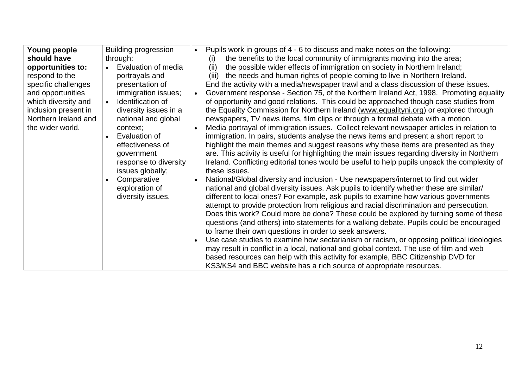| Young people         | <b>Building progression</b> | Pupils work in groups of 4 - 6 to discuss and make notes on the following:<br>$\bullet$       |
|----------------------|-----------------------------|-----------------------------------------------------------------------------------------------|
| should have          | through:                    | the benefits to the local community of immigrants moving into the area;<br>$\left( 1\right)$  |
| opportunities to:    | Evaluation of media         | the possible wider effects of immigration on society in Northern Ireland;<br>(ii)             |
| respond to the       | portrayals and              | the needs and human rights of people coming to live in Northern Ireland.<br>(iii)             |
| specific challenges  | presentation of             | End the activity with a media/newspaper trawl and a class discussion of these issues.         |
| and opportunities    | immigration issues;         | Government response - Section 75, of the Northern Ireland Act, 1998. Promoting equality       |
| which diversity and  | Identification of           | of opportunity and good relations. This could be approached though case studies from          |
| inclusion present in | diversity issues in a       | the Equality Commission for Northern Ireland (www.equalityni.org) or explored through         |
| Northern Ireland and | national and global         | newspapers, TV news items, film clips or through a formal debate with a motion.               |
| the wider world.     | context:                    | Media portrayal of immigration issues. Collect relevant newspaper articles in relation to     |
|                      | Evaluation of               | immigration. In pairs, students analyse the news items and present a short report to          |
|                      | effectiveness of            | highlight the main themes and suggest reasons why these items are presented as they           |
|                      | government                  | are. This activity is useful for highlighting the main issues regarding diversity in Northern |
|                      | response to diversity       | Ireland. Conflicting editorial tones would be useful to help pupils unpack the complexity of  |
|                      | issues globally;            | these issues.                                                                                 |
|                      | Comparative                 | National/Global diversity and inclusion - Use newspapers/internet to find out wider           |
|                      |                             |                                                                                               |
|                      | exploration of              | national and global diversity issues. Ask pupils to identify whether these are similar/       |
|                      | diversity issues.           | different to local ones? For example, ask pupils to examine how various governments           |
|                      |                             | attempt to provide protection from religious and racial discrimination and persecution.       |
|                      |                             | Does this work? Could more be done? These could be explored by turning some of these          |
|                      |                             | questions (and others) into statements for a walking debate. Pupils could be encouraged       |
|                      |                             | to frame their own questions in order to seek answers.                                        |
|                      |                             | Use case studies to examine how sectarianism or racism, or opposing political ideologies      |
|                      |                             | may result in conflict in a local, national and global context. The use of film and web       |
|                      |                             | based resources can help with this activity for example, BBC Citizenship DVD for              |
|                      |                             | KS3/KS4 and BBC website has a rich source of appropriate resources.                           |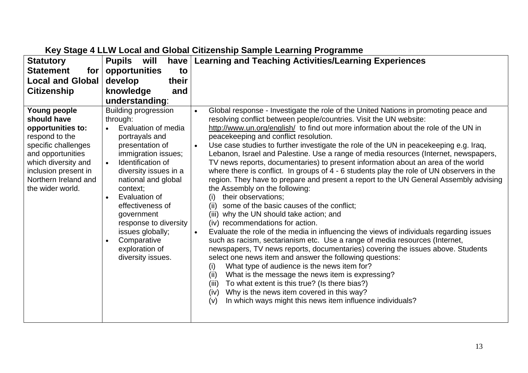| <b>Statutory</b>                                                                                                                                                                                          | <b>Pupils</b><br>will<br>have                                                                                                                                                                                                                                                                                                                                                  | <b>Learning and Teaching Activities/Learning Experiences</b>                                                                                                                                                                                                                                                                                                                                                                                                                                                                                                                                                                                                                                                                                                                                                                                                                                                                                                                                                                                                                                                                                                                                                                                                                                                                                                                                                                                                                                                                                                                                                                    |
|-----------------------------------------------------------------------------------------------------------------------------------------------------------------------------------------------------------|--------------------------------------------------------------------------------------------------------------------------------------------------------------------------------------------------------------------------------------------------------------------------------------------------------------------------------------------------------------------------------|---------------------------------------------------------------------------------------------------------------------------------------------------------------------------------------------------------------------------------------------------------------------------------------------------------------------------------------------------------------------------------------------------------------------------------------------------------------------------------------------------------------------------------------------------------------------------------------------------------------------------------------------------------------------------------------------------------------------------------------------------------------------------------------------------------------------------------------------------------------------------------------------------------------------------------------------------------------------------------------------------------------------------------------------------------------------------------------------------------------------------------------------------------------------------------------------------------------------------------------------------------------------------------------------------------------------------------------------------------------------------------------------------------------------------------------------------------------------------------------------------------------------------------------------------------------------------------------------------------------------------------|
| <b>Statement</b><br>for                                                                                                                                                                                   | opportunities<br>to                                                                                                                                                                                                                                                                                                                                                            |                                                                                                                                                                                                                                                                                                                                                                                                                                                                                                                                                                                                                                                                                                                                                                                                                                                                                                                                                                                                                                                                                                                                                                                                                                                                                                                                                                                                                                                                                                                                                                                                                                 |
| <b>Local and Global</b>                                                                                                                                                                                   | develop<br>their                                                                                                                                                                                                                                                                                                                                                               |                                                                                                                                                                                                                                                                                                                                                                                                                                                                                                                                                                                                                                                                                                                                                                                                                                                                                                                                                                                                                                                                                                                                                                                                                                                                                                                                                                                                                                                                                                                                                                                                                                 |
| <b>Citizenship</b>                                                                                                                                                                                        | knowledge<br>and                                                                                                                                                                                                                                                                                                                                                               |                                                                                                                                                                                                                                                                                                                                                                                                                                                                                                                                                                                                                                                                                                                                                                                                                                                                                                                                                                                                                                                                                                                                                                                                                                                                                                                                                                                                                                                                                                                                                                                                                                 |
|                                                                                                                                                                                                           | understanding:                                                                                                                                                                                                                                                                                                                                                                 |                                                                                                                                                                                                                                                                                                                                                                                                                                                                                                                                                                                                                                                                                                                                                                                                                                                                                                                                                                                                                                                                                                                                                                                                                                                                                                                                                                                                                                                                                                                                                                                                                                 |
| Young people<br>should have<br>opportunities to:<br>respond to the<br>specific challenges<br>and opportunities<br>which diversity and<br>inclusion present in<br>Northern Ireland and<br>the wider world. | <b>Building progression</b><br>through:<br>Evaluation of media<br>portrayals and<br>presentation of<br>immigration issues;<br>Identification of<br>$\bullet$<br>diversity issues in a<br>national and global<br>context;<br>Evaluation of<br>effectiveness of<br>government<br>response to diversity<br>issues globally;<br>Comparative<br>exploration of<br>diversity issues. | Global response - Investigate the role of the United Nations in promoting peace and<br>$\bullet$<br>resolving conflict between people/countries. Visit the UN website:<br>http://www.un.org/english/ to find out more information about the role of the UN in<br>peacekeeping and conflict resolution.<br>Use case studies to further investigate the role of the UN in peacekeeping e.g. Iraq,<br>$\bullet$<br>Lebanon, Israel and Palestine. Use a range of media resources (Internet, newspapers,<br>TV news reports, documentaries) to present information about an area of the world<br>where there is conflict. In groups of 4 - 6 students play the role of UN observers in the<br>region. They have to prepare and present a report to the UN General Assembly advising<br>the Assembly on the following:<br>their observations;<br>(i)<br>some of the basic causes of the conflict;<br>(ii)<br>(iii) why the UN should take action; and<br>(iv) recommendations for action.<br>Evaluate the role of the media in influencing the views of individuals regarding issues<br>$\bullet$<br>such as racism, sectarianism etc. Use a range of media resources (Internet,<br>newspapers, TV news reports, documentaries) covering the issues above. Students<br>select one news item and answer the following questions:<br>What type of audience is the news item for?<br>(i)<br>What is the message the news item is expressing?<br>(ii)<br>To what extent is this true? (Is there bias?)<br>(iii)<br>Why is the news item covered in this way?<br>(iv)<br>In which ways might this news item influence individuals?<br>(v) |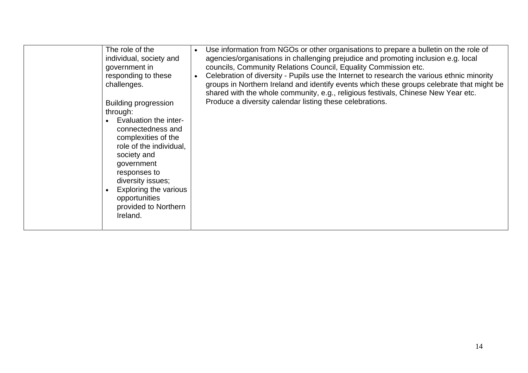| The role of the<br>individual, society and<br>government in<br>responding to these<br>challenges.<br><b>Building progression</b><br>through:<br>Evaluation the inter-<br>connectedness and<br>complexities of the<br>role of the individual,<br>society and<br>government<br>responses to<br>diversity issues;<br>Exploring the various<br>$\bullet$<br>opportunities<br>provided to Northern<br>Ireland. | Use information from NGOs or other organisations to prepare a bulletin on the role of<br>agencies/organisations in challenging prejudice and promoting inclusion e.g. local<br>councils, Community Relations Council, Equality Commission etc.<br>Celebration of diversity - Pupils use the Internet to research the various ethnic minority<br>groups in Northern Ireland and identify events which these groups celebrate that might be<br>shared with the whole community, e.g., religious festivals, Chinese New Year etc.<br>Produce a diversity calendar listing these celebrations. |
|-----------------------------------------------------------------------------------------------------------------------------------------------------------------------------------------------------------------------------------------------------------------------------------------------------------------------------------------------------------------------------------------------------------|--------------------------------------------------------------------------------------------------------------------------------------------------------------------------------------------------------------------------------------------------------------------------------------------------------------------------------------------------------------------------------------------------------------------------------------------------------------------------------------------------------------------------------------------------------------------------------------------|
|                                                                                                                                                                                                                                                                                                                                                                                                           |                                                                                                                                                                                                                                                                                                                                                                                                                                                                                                                                                                                            |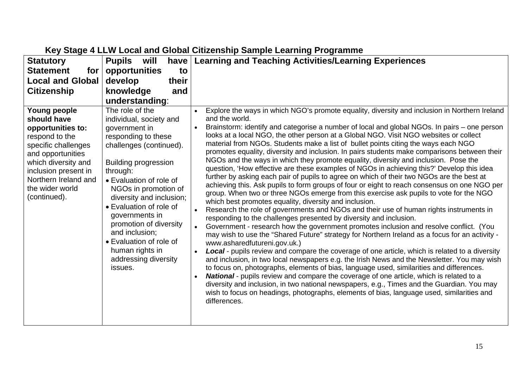| <b>Statutory</b>                                                                                                                                                                                                         | <b>Pupils</b><br>will<br>have                                                                                                                                                                                                                                                                                                                                                                                     | <b>Learning and Teaching Activities/Learning Experiences</b>                                                                                                                                                                                                                                                                                                                                                                                                                                                                                                                                                                                                                                                                                                                                                                                                                                                                                                                                                                                                                                                                                                                                                                                                                                                                                                                                                                                                                                                                                                                                                                                                                                                                                                                                                                                                                                                                                                                                                                                                                                         |
|--------------------------------------------------------------------------------------------------------------------------------------------------------------------------------------------------------------------------|-------------------------------------------------------------------------------------------------------------------------------------------------------------------------------------------------------------------------------------------------------------------------------------------------------------------------------------------------------------------------------------------------------------------|------------------------------------------------------------------------------------------------------------------------------------------------------------------------------------------------------------------------------------------------------------------------------------------------------------------------------------------------------------------------------------------------------------------------------------------------------------------------------------------------------------------------------------------------------------------------------------------------------------------------------------------------------------------------------------------------------------------------------------------------------------------------------------------------------------------------------------------------------------------------------------------------------------------------------------------------------------------------------------------------------------------------------------------------------------------------------------------------------------------------------------------------------------------------------------------------------------------------------------------------------------------------------------------------------------------------------------------------------------------------------------------------------------------------------------------------------------------------------------------------------------------------------------------------------------------------------------------------------------------------------------------------------------------------------------------------------------------------------------------------------------------------------------------------------------------------------------------------------------------------------------------------------------------------------------------------------------------------------------------------------------------------------------------------------------------------------------------------------|
| <b>Statement</b><br>for                                                                                                                                                                                                  | opportunities<br>to                                                                                                                                                                                                                                                                                                                                                                                               |                                                                                                                                                                                                                                                                                                                                                                                                                                                                                                                                                                                                                                                                                                                                                                                                                                                                                                                                                                                                                                                                                                                                                                                                                                                                                                                                                                                                                                                                                                                                                                                                                                                                                                                                                                                                                                                                                                                                                                                                                                                                                                      |
| <b>Local and Global</b>                                                                                                                                                                                                  | develop<br>their                                                                                                                                                                                                                                                                                                                                                                                                  |                                                                                                                                                                                                                                                                                                                                                                                                                                                                                                                                                                                                                                                                                                                                                                                                                                                                                                                                                                                                                                                                                                                                                                                                                                                                                                                                                                                                                                                                                                                                                                                                                                                                                                                                                                                                                                                                                                                                                                                                                                                                                                      |
| <b>Citizenship</b>                                                                                                                                                                                                       | knowledge<br>and                                                                                                                                                                                                                                                                                                                                                                                                  |                                                                                                                                                                                                                                                                                                                                                                                                                                                                                                                                                                                                                                                                                                                                                                                                                                                                                                                                                                                                                                                                                                                                                                                                                                                                                                                                                                                                                                                                                                                                                                                                                                                                                                                                                                                                                                                                                                                                                                                                                                                                                                      |
|                                                                                                                                                                                                                          | understanding:                                                                                                                                                                                                                                                                                                                                                                                                    |                                                                                                                                                                                                                                                                                                                                                                                                                                                                                                                                                                                                                                                                                                                                                                                                                                                                                                                                                                                                                                                                                                                                                                                                                                                                                                                                                                                                                                                                                                                                                                                                                                                                                                                                                                                                                                                                                                                                                                                                                                                                                                      |
| Young people<br>should have<br>opportunities to:<br>respond to the<br>specific challenges<br>and opportunities<br>which diversity and<br>inclusion present in<br>Northern Ireland and<br>the wider world<br>(continued). | The role of the<br>individual, society and<br>government in<br>responding to these<br>challenges (continued).<br><b>Building progression</b><br>through:<br>• Evaluation of role of<br>NGOs in promotion of<br>diversity and inclusion;<br>• Evaluation of role of<br>governments in<br>promotion of diversity<br>and inclusion;<br>• Evaluation of role of<br>human rights in<br>addressing diversity<br>issues. | Explore the ways in which NGO's promote equality, diversity and inclusion in Northern Ireland<br>$\bullet$<br>and the world.<br>Brainstorm: identify and categorise a number of local and global NGOs. In pairs – one person<br>looks at a local NGO, the other person at a Global NGO. Visit NGO websites or collect<br>material from NGOs. Students make a list of bullet points citing the ways each NGO<br>promotes equality, diversity and inclusion. In pairs students make comparisons between their<br>NGOs and the ways in which they promote equality, diversity and inclusion. Pose the<br>question, 'How effective are these examples of NGOs in achieving this?' Develop this idea<br>further by asking each pair of pupils to agree on which of their two NGOs are the best at<br>achieving this. Ask pupils to form groups of four or eight to reach consensus on one NGO per<br>group. When two or three NGOs emerge from this exercise ask pupils to vote for the NGO<br>which best promotes equality, diversity and inclusion.<br>Research the role of governments and NGOs and their use of human rights instruments in<br>$\bullet$<br>responding to the challenges presented by diversity and inclusion.<br>Government - research how the government promotes inclusion and resolve conflict. (You<br>may wish to use the "Shared Future" strategy for Northern Ireland as a focus for an activity -<br>www.asharedfutureni.gov.uk.)<br><b>Local</b> - pupils review and compare the coverage of one article, which is related to a diversity<br>$\bullet$<br>and inclusion, in two local newspapers e.g. the Irish News and the Newsletter. You may wish<br>to focus on, photographs, elements of bias, language used, similarities and differences.<br><b>National</b> - pupils review and compare the coverage of one article, which is related to a<br>$\bullet$<br>diversity and inclusion, in two national newspapers, e.g., Times and the Guardian. You may<br>wish to focus on headings, photographs, elements of bias, language used, similarities and<br>differences. |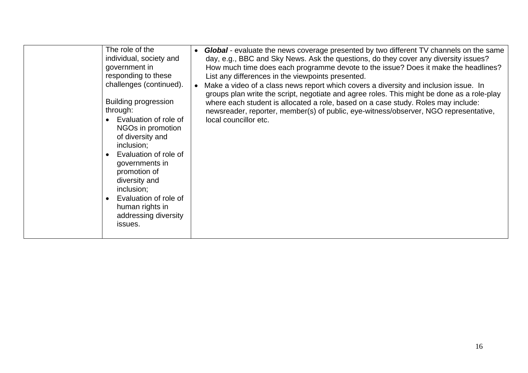| The role of the<br>individual, society and<br>government in<br>responding to these<br>challenges (continued).<br><b>Building progression</b><br>through:<br>Evaluation of role of<br>NGOs in promotion<br>of diversity and<br>inclusion;<br>Evaluation of role of<br>governments in<br>promotion of<br>diversity and<br>inclusion;<br>Evaluation of role of<br>human rights in<br>addressing diversity<br>issues. | <b>Global</b> - evaluate the news coverage presented by two different TV channels on the same<br>day, e.g., BBC and Sky News. Ask the questions, do they cover any diversity issues?<br>How much time does each programme devote to the issue? Does it make the headlines?<br>List any differences in the viewpoints presented.<br>Make a video of a class news report which covers a diversity and inclusion issue. In<br>$\bullet$<br>groups plan write the script, negotiate and agree roles. This might be done as a role-play<br>where each student is allocated a role, based on a case study. Roles may include:<br>newsreader, reporter, member(s) of public, eye-witness/observer, NGO representative,<br>local councillor etc. |
|-------------------------------------------------------------------------------------------------------------------------------------------------------------------------------------------------------------------------------------------------------------------------------------------------------------------------------------------------------------------------------------------------------------------|------------------------------------------------------------------------------------------------------------------------------------------------------------------------------------------------------------------------------------------------------------------------------------------------------------------------------------------------------------------------------------------------------------------------------------------------------------------------------------------------------------------------------------------------------------------------------------------------------------------------------------------------------------------------------------------------------------------------------------------|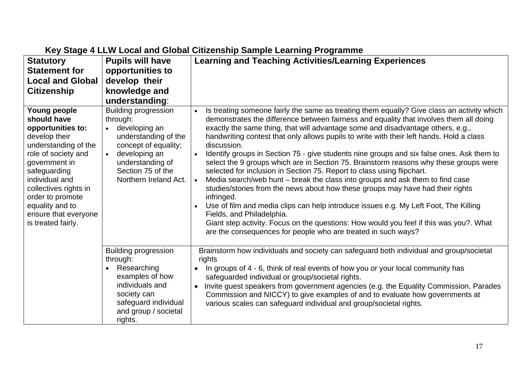| <b>Statutory</b>                                                                                                                                                                                                                                                                  | <b>Pupils will have</b>                                                                                                                                                                                    | <b>Learning and Teaching Activities/Learning Experiences</b>                                                                                                                                                                                                                                                                                                                                                                                                                                                                                                                                                                                                                                                                                                                                                                                                                                                                                                                                                                                                                                                                                  |
|-----------------------------------------------------------------------------------------------------------------------------------------------------------------------------------------------------------------------------------------------------------------------------------|------------------------------------------------------------------------------------------------------------------------------------------------------------------------------------------------------------|-----------------------------------------------------------------------------------------------------------------------------------------------------------------------------------------------------------------------------------------------------------------------------------------------------------------------------------------------------------------------------------------------------------------------------------------------------------------------------------------------------------------------------------------------------------------------------------------------------------------------------------------------------------------------------------------------------------------------------------------------------------------------------------------------------------------------------------------------------------------------------------------------------------------------------------------------------------------------------------------------------------------------------------------------------------------------------------------------------------------------------------------------|
| <b>Statement for</b>                                                                                                                                                                                                                                                              | opportunities to                                                                                                                                                                                           |                                                                                                                                                                                                                                                                                                                                                                                                                                                                                                                                                                                                                                                                                                                                                                                                                                                                                                                                                                                                                                                                                                                                               |
| <b>Local and Global</b>                                                                                                                                                                                                                                                           | develop their                                                                                                                                                                                              |                                                                                                                                                                                                                                                                                                                                                                                                                                                                                                                                                                                                                                                                                                                                                                                                                                                                                                                                                                                                                                                                                                                                               |
| <b>Citizenship</b>                                                                                                                                                                                                                                                                | knowledge and                                                                                                                                                                                              |                                                                                                                                                                                                                                                                                                                                                                                                                                                                                                                                                                                                                                                                                                                                                                                                                                                                                                                                                                                                                                                                                                                                               |
|                                                                                                                                                                                                                                                                                   | understanding:                                                                                                                                                                                             |                                                                                                                                                                                                                                                                                                                                                                                                                                                                                                                                                                                                                                                                                                                                                                                                                                                                                                                                                                                                                                                                                                                                               |
| Young people<br>should have<br>opportunities to:<br>develop their<br>understanding of the<br>role of society and<br>government in<br>safeguarding<br>individual and<br>collectives rights in<br>order to promote<br>equality and to<br>ensure that everyone<br>is treated fairly. | <b>Building progression</b><br>through:<br>• developing an<br>understanding of the<br>concept of equality;<br>developing an<br>$\bullet$<br>understanding of<br>Section 75 of the<br>Northern Ireland Act. | Is treating someone fairly the same as treating them equally? Give class an activity which<br>demonstrates the difference between fairness and equality that involves them all doing<br>exactly the same thing, that will advantage some and disadvantage others, e.g.,<br>handwriting contest that only allows pupils to write with their left hands. Hold a class<br>discussion.<br>Identify groups in Section 75 - give students nine groups and six false ones. Ask them to<br>$\bullet$<br>select the 9 groups which are in Section 75. Brainstorm reasons why these groups were<br>selected for inclusion in Section 75. Report to class using flipchart.<br>Media search/web hunt – break the class into groups and ask them to find case<br>$\bullet$<br>studies/stories from the news about how these groups may have had their rights<br>infringed.<br>Use of film and media clips can help introduce issues e.g. My Left Foot, The Killing<br>Fields, and Philadelphia.<br>Giant step activity. Focus on the questions: How would you feel if this was you?. What<br>are the consequences for people who are treated in such ways? |
|                                                                                                                                                                                                                                                                                   | <b>Building progression</b><br>through:<br>Researching<br>examples of how<br>individuals and<br>society can<br>safeguard individual<br>and group / societal<br>rights.                                     | Brainstorm how individuals and society can safeguard both individual and group/societal<br>rights<br>In groups of 4 - 6, think of real events of how you or your local community has<br>safeguarded individual or group/societal rights.<br>Invite guest speakers from government agencies (e.g. the Equality Commission, Parades<br>Commission and NICCY) to give examples of and to evaluate how governments at<br>various scales can safeguard individual and group/societal rights.                                                                                                                                                                                                                                                                                                                                                                                                                                                                                                                                                                                                                                                       |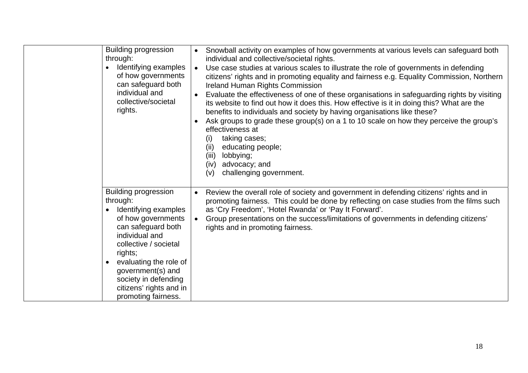| <b>Building progression</b><br>through:<br>Identifying examples<br>of how governments<br>can safeguard both<br>individual and<br>collective/societal<br>rights.                                                                                                                            | Snowball activity on examples of how governments at various levels can safeguard both<br>$\bullet$<br>individual and collective/societal rights.<br>Use case studies at various scales to illustrate the role of governments in defending<br>$\bullet$<br>citizens' rights and in promoting equality and fairness e.g. Equality Commission, Northern<br><b>Ireland Human Rights Commission</b><br>Evaluate the effectiveness of one of these organisations in safeguarding rights by visiting<br>its website to find out how it does this. How effective is it in doing this? What are the<br>benefits to individuals and society by having organisations like these?<br>Ask groups to grade these group(s) on a 1 to 10 scale on how they perceive the group's<br>effectiveness at<br>taking cases;<br>(i)<br>(ii)<br>educating people;<br>(iii)<br>lobbying;<br>advocacy; and<br>(iv)<br>challenging government.<br>(v) |
|--------------------------------------------------------------------------------------------------------------------------------------------------------------------------------------------------------------------------------------------------------------------------------------------|---------------------------------------------------------------------------------------------------------------------------------------------------------------------------------------------------------------------------------------------------------------------------------------------------------------------------------------------------------------------------------------------------------------------------------------------------------------------------------------------------------------------------------------------------------------------------------------------------------------------------------------------------------------------------------------------------------------------------------------------------------------------------------------------------------------------------------------------------------------------------------------------------------------------------|
| <b>Building progression</b><br>through:<br>Identifying examples<br>of how governments<br>can safeguard both<br>individual and<br>collective / societal<br>rights;<br>evaluating the role of<br>government(s) and<br>society in defending<br>citizens' rights and in<br>promoting fairness. | Review the overall role of society and government in defending citizens' rights and in<br>$\bullet$<br>promoting fairness. This could be done by reflecting on case studies from the films such<br>as 'Cry Freedom', 'Hotel Rwanda' or 'Pay It Forward'.<br>Group presentations on the success/limitations of governments in defending citizens'<br>$\bullet$<br>rights and in promoting fairness.                                                                                                                                                                                                                                                                                                                                                                                                                                                                                                                        |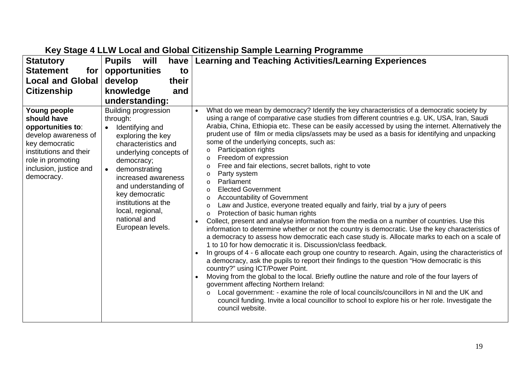| <b>Statutory</b>                                                                                                                                                                  | <b>Pupils</b><br>will<br>have                                                                                                                                                                                                                                                                                   | <b>Learning and Teaching Activities/Learning Experiences</b>                                                                                                                                                                                                                                                                                                                                                                                                                                                                                                                                                                                                                                                                                                                                                                                                                                                                                                                                                                                                                                                                                                                                                                                                                                                                                                                                                                                                                                                                                                                                                                                                                                                                                                                                                                                                                               |
|-----------------------------------------------------------------------------------------------------------------------------------------------------------------------------------|-----------------------------------------------------------------------------------------------------------------------------------------------------------------------------------------------------------------------------------------------------------------------------------------------------------------|--------------------------------------------------------------------------------------------------------------------------------------------------------------------------------------------------------------------------------------------------------------------------------------------------------------------------------------------------------------------------------------------------------------------------------------------------------------------------------------------------------------------------------------------------------------------------------------------------------------------------------------------------------------------------------------------------------------------------------------------------------------------------------------------------------------------------------------------------------------------------------------------------------------------------------------------------------------------------------------------------------------------------------------------------------------------------------------------------------------------------------------------------------------------------------------------------------------------------------------------------------------------------------------------------------------------------------------------------------------------------------------------------------------------------------------------------------------------------------------------------------------------------------------------------------------------------------------------------------------------------------------------------------------------------------------------------------------------------------------------------------------------------------------------------------------------------------------------------------------------------------------------|
| <b>Statement</b><br>for                                                                                                                                                           | opportunities<br>to                                                                                                                                                                                                                                                                                             |                                                                                                                                                                                                                                                                                                                                                                                                                                                                                                                                                                                                                                                                                                                                                                                                                                                                                                                                                                                                                                                                                                                                                                                                                                                                                                                                                                                                                                                                                                                                                                                                                                                                                                                                                                                                                                                                                            |
| <b>Local and Global</b>                                                                                                                                                           | develop<br>their                                                                                                                                                                                                                                                                                                |                                                                                                                                                                                                                                                                                                                                                                                                                                                                                                                                                                                                                                                                                                                                                                                                                                                                                                                                                                                                                                                                                                                                                                                                                                                                                                                                                                                                                                                                                                                                                                                                                                                                                                                                                                                                                                                                                            |
| <b>Citizenship</b>                                                                                                                                                                | knowledge<br>and                                                                                                                                                                                                                                                                                                |                                                                                                                                                                                                                                                                                                                                                                                                                                                                                                                                                                                                                                                                                                                                                                                                                                                                                                                                                                                                                                                                                                                                                                                                                                                                                                                                                                                                                                                                                                                                                                                                                                                                                                                                                                                                                                                                                            |
|                                                                                                                                                                                   | understanding:                                                                                                                                                                                                                                                                                                  |                                                                                                                                                                                                                                                                                                                                                                                                                                                                                                                                                                                                                                                                                                                                                                                                                                                                                                                                                                                                                                                                                                                                                                                                                                                                                                                                                                                                                                                                                                                                                                                                                                                                                                                                                                                                                                                                                            |
| Young people<br>should have<br>opportunities to:<br>develop awareness of<br>key democratic<br>institutions and their<br>role in promoting<br>inclusion, justice and<br>democracy. | <b>Building progression</b><br>through:<br>Identifying and<br>exploring the key<br>characteristics and<br>underlying concepts of<br>democracy;<br>demonstrating<br>increased awareness<br>and understanding of<br>key democratic<br>institutions at the<br>local, regional,<br>national and<br>European levels. | What do we mean by democracy? Identify the key characteristics of a democratic society by<br>using a range of comparative case studies from different countries e.g. UK, USA, Iran, Saudi<br>Arabia, China, Ethiopia etc. These can be easily accessed by using the internet. Alternatively the<br>prudent use of film or media clips/assets may be used as a basis for identifying and unpacking<br>some of the underlying concepts, such as:<br>Participation rights<br>$\circ$<br>Freedom of expression<br>$\circ$<br>Free and fair elections, secret ballots, right to vote<br>$\circ$<br>Party system<br>$\circ$<br>Parliament<br>$\circ$<br><b>Elected Government</b><br>$\circ$<br><b>Accountability of Government</b><br>$\circ$<br>Law and Justice, everyone treated equally and fairly, trial by a jury of peers<br>$\circ$<br>Protection of basic human rights<br>$\circ$<br>Collect, present and analyse information from the media on a number of countries. Use this<br>information to determine whether or not the country is democratic. Use the key characteristics of<br>a democracy to assess how democratic each case study is. Allocate marks to each on a scale of<br>1 to 10 for how democratic it is. Discussion/class feedback.<br>In groups of 4 - 6 allocate each group one country to research. Again, using the characteristics of<br>$\bullet$<br>a democracy, ask the pupils to report their findings to the question "How democratic is this<br>country?" using ICT/Power Point.<br>Moving from the global to the local. Briefly outline the nature and role of the four layers of<br>government affecting Northern Ireland:<br>Local government: - examine the role of local councils/councillors in NI and the UK and<br>$\circ$<br>council funding. Invite a local councillor to school to explore his or her role. Investigate the<br>council website. |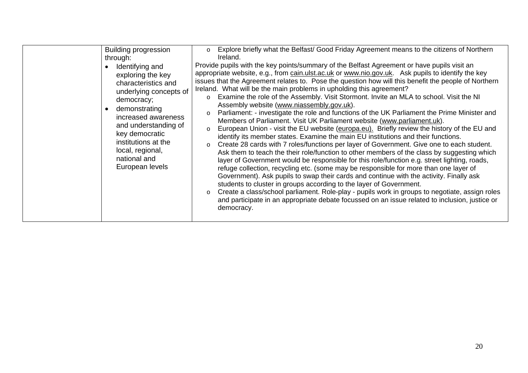| Explore briefly what the Belfast/ Good Friday Agreement means to the citizens of Northern<br>Building progression<br>$\circ$<br>Ireland.<br>through:<br>Provide pupils with the key points/summary of the Belfast Agreement or have pupils visit an<br>Identifying and<br>appropriate website, e.g., from cain.ulst.ac.uk or www.nio.gov.uk. Ask pupils to identify the key<br>exploring the key<br>issues that the Agreement relates to. Pose the question how will this benefit the people of Northern<br>characteristics and<br>Ireland. What will be the main problems in upholding this agreement?<br>underlying concepts of<br>Examine the role of the Assembly. Visit Stormont. Invite an MLA to school. Visit the NI<br>$\circ$<br>democracy;<br>Assembly website (www.niassembly.gov.uk).<br>demonstrating<br>$\bullet$<br>Parliament: - investigate the role and functions of the UK Parliament the Prime Minister and<br>$\circ$<br>increased awareness<br>Members of Parliament. Visit UK Parliament website (www.parliament.uk).<br>and understanding of<br>European Union - visit the EU website (europa.eu). Briefly review the history of the EU and<br>$\circ$<br>key democratic<br>identify its member states. Examine the main EU institutions and their functions.<br>institutions at the<br>Create 28 cards with 7 roles/functions per layer of Government. Give one to each student.<br>$\circ$<br>local, regional,<br>Ask them to teach the their role/function to other members of the class by suggesting which<br>national and<br>layer of Government would be responsible for this role/function e.g. street lighting, roads,<br>European levels<br>refuge collection, recycling etc. (some may be responsible for more than one layer of<br>Government). Ask pupils to swap their cards and continue with the activity. Finally ask<br>students to cluster in groups according to the layer of Government.<br>Create a class/school parliament. Role-play - pupils work in groups to negotiate, assign roles<br>$\circ$<br>and participate in an appropriate debate focussed on an issue related to inclusion, justice or<br>democracy. |  |
|---------------------------------------------------------------------------------------------------------------------------------------------------------------------------------------------------------------------------------------------------------------------------------------------------------------------------------------------------------------------------------------------------------------------------------------------------------------------------------------------------------------------------------------------------------------------------------------------------------------------------------------------------------------------------------------------------------------------------------------------------------------------------------------------------------------------------------------------------------------------------------------------------------------------------------------------------------------------------------------------------------------------------------------------------------------------------------------------------------------------------------------------------------------------------------------------------------------------------------------------------------------------------------------------------------------------------------------------------------------------------------------------------------------------------------------------------------------------------------------------------------------------------------------------------------------------------------------------------------------------------------------------------------------------------------------------------------------------------------------------------------------------------------------------------------------------------------------------------------------------------------------------------------------------------------------------------------------------------------------------------------------------------------------------------------------------------------------------------------------------------------------------------------------------|--|
|                                                                                                                                                                                                                                                                                                                                                                                                                                                                                                                                                                                                                                                                                                                                                                                                                                                                                                                                                                                                                                                                                                                                                                                                                                                                                                                                                                                                                                                                                                                                                                                                                                                                                                                                                                                                                                                                                                                                                                                                                                                                                                                                                                     |  |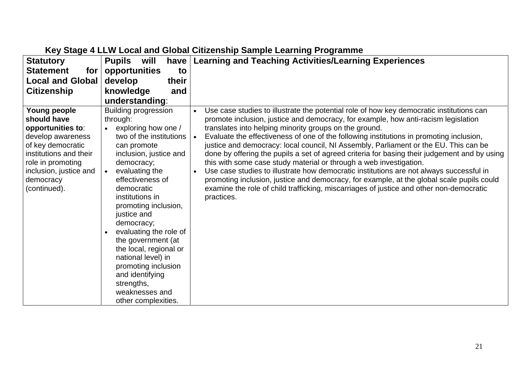| <b>Statutory</b>                                                                                                                                                                                 | <b>Pupils</b><br>will                                                                                                                                                                                                                                                                                                                                                                                                                                                         | have   Learning and Teaching Activities/Learning Experiences                                                                                                                                                                                                                                                                                                                                                                                                                                                                                                                                                                                                                                                                                                                                                                                                                                                                              |
|--------------------------------------------------------------------------------------------------------------------------------------------------------------------------------------------------|-------------------------------------------------------------------------------------------------------------------------------------------------------------------------------------------------------------------------------------------------------------------------------------------------------------------------------------------------------------------------------------------------------------------------------------------------------------------------------|-------------------------------------------------------------------------------------------------------------------------------------------------------------------------------------------------------------------------------------------------------------------------------------------------------------------------------------------------------------------------------------------------------------------------------------------------------------------------------------------------------------------------------------------------------------------------------------------------------------------------------------------------------------------------------------------------------------------------------------------------------------------------------------------------------------------------------------------------------------------------------------------------------------------------------------------|
| <b>Statement</b><br>for                                                                                                                                                                          | opportunities<br>to                                                                                                                                                                                                                                                                                                                                                                                                                                                           |                                                                                                                                                                                                                                                                                                                                                                                                                                                                                                                                                                                                                                                                                                                                                                                                                                                                                                                                           |
| <b>Local and Global</b>                                                                                                                                                                          | develop<br>their                                                                                                                                                                                                                                                                                                                                                                                                                                                              |                                                                                                                                                                                                                                                                                                                                                                                                                                                                                                                                                                                                                                                                                                                                                                                                                                                                                                                                           |
| <b>Citizenship</b>                                                                                                                                                                               | knowledge<br>and                                                                                                                                                                                                                                                                                                                                                                                                                                                              |                                                                                                                                                                                                                                                                                                                                                                                                                                                                                                                                                                                                                                                                                                                                                                                                                                                                                                                                           |
|                                                                                                                                                                                                  | understanding:                                                                                                                                                                                                                                                                                                                                                                                                                                                                |                                                                                                                                                                                                                                                                                                                                                                                                                                                                                                                                                                                                                                                                                                                                                                                                                                                                                                                                           |
| Young people<br>should have<br>opportunities to:<br>develop awareness<br>of key democratic<br>institutions and their<br>role in promoting<br>inclusion, justice and<br>democracy<br>(continued). | <b>Building progression</b><br>through:<br>exploring how one /<br>two of the institutions<br>can promote<br>inclusion, justice and<br>democracy;<br>evaluating the<br>effectiveness of<br>democratic<br>institutions in<br>promoting inclusion,<br>justice and<br>democracy;<br>evaluating the role of<br>the government (at<br>the local, regional or<br>national level) in<br>promoting inclusion<br>and identifying<br>strengths,<br>weaknesses and<br>other complexities. | Use case studies to illustrate the potential role of how key democratic institutions can<br>$\bullet$<br>promote inclusion, justice and democracy, for example, how anti-racism legislation<br>translates into helping minority groups on the ground.<br>Evaluate the effectiveness of one of the following institutions in promoting inclusion,<br>$\bullet$<br>justice and democracy: local council, NI Assembly, Parliament or the EU. This can be<br>done by offering the pupils a set of agreed criteria for basing their judgement and by using<br>this with some case study material or through a web investigation.<br>Use case studies to illustrate how democratic institutions are not always successful in<br>$\bullet$<br>promoting inclusion, justice and democracy, for example, at the global scale pupils could<br>examine the role of child trafficking, miscarriages of justice and other non-democratic<br>practices. |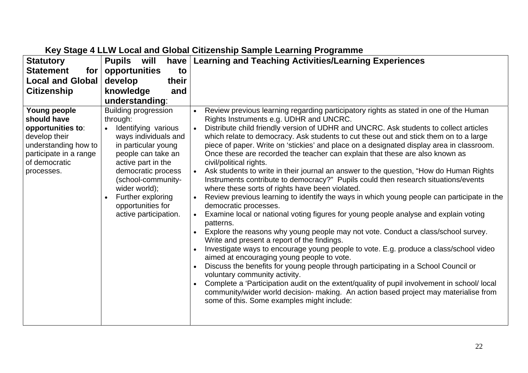| <b>Statutory</b>                                                                                                                                   | <b>Pupils</b><br>will<br>have                                                                                                                                                                                                                                                                          | <b>Learning and Teaching Activities/Learning Experiences</b>                                                                                                                                                                                                                                                                                                                                                                                                                                                                                                                                                                                                                                                                                                                                                                                                                                                                                                                                                                                                                                                                                                                                                                                                                                                                                                                                                                                                                                                                                                                                                                                |
|----------------------------------------------------------------------------------------------------------------------------------------------------|--------------------------------------------------------------------------------------------------------------------------------------------------------------------------------------------------------------------------------------------------------------------------------------------------------|---------------------------------------------------------------------------------------------------------------------------------------------------------------------------------------------------------------------------------------------------------------------------------------------------------------------------------------------------------------------------------------------------------------------------------------------------------------------------------------------------------------------------------------------------------------------------------------------------------------------------------------------------------------------------------------------------------------------------------------------------------------------------------------------------------------------------------------------------------------------------------------------------------------------------------------------------------------------------------------------------------------------------------------------------------------------------------------------------------------------------------------------------------------------------------------------------------------------------------------------------------------------------------------------------------------------------------------------------------------------------------------------------------------------------------------------------------------------------------------------------------------------------------------------------------------------------------------------------------------------------------------------|
| <b>Statement</b><br>for                                                                                                                            | opportunities<br>to                                                                                                                                                                                                                                                                                    |                                                                                                                                                                                                                                                                                                                                                                                                                                                                                                                                                                                                                                                                                                                                                                                                                                                                                                                                                                                                                                                                                                                                                                                                                                                                                                                                                                                                                                                                                                                                                                                                                                             |
| <b>Local and Global</b>                                                                                                                            | develop<br>their                                                                                                                                                                                                                                                                                       |                                                                                                                                                                                                                                                                                                                                                                                                                                                                                                                                                                                                                                                                                                                                                                                                                                                                                                                                                                                                                                                                                                                                                                                                                                                                                                                                                                                                                                                                                                                                                                                                                                             |
| <b>Citizenship</b>                                                                                                                                 | knowledge<br>and                                                                                                                                                                                                                                                                                       |                                                                                                                                                                                                                                                                                                                                                                                                                                                                                                                                                                                                                                                                                                                                                                                                                                                                                                                                                                                                                                                                                                                                                                                                                                                                                                                                                                                                                                                                                                                                                                                                                                             |
|                                                                                                                                                    | understanding:                                                                                                                                                                                                                                                                                         |                                                                                                                                                                                                                                                                                                                                                                                                                                                                                                                                                                                                                                                                                                                                                                                                                                                                                                                                                                                                                                                                                                                                                                                                                                                                                                                                                                                                                                                                                                                                                                                                                                             |
| Young people<br>should have<br>opportunities to:<br>develop their<br>understanding how to<br>participate in a range<br>of democratic<br>processes. | <b>Building progression</b><br>through:<br>Identifying various<br>ways individuals and<br>in particular young<br>people can take an<br>active part in the<br>democratic process<br>(school-community-<br>wider world);<br>Further exploring<br>$\bullet$<br>opportunities for<br>active participation. | Review previous learning regarding participatory rights as stated in one of the Human<br>Rights Instruments e.g. UDHR and UNCRC.<br>Distribute child friendly version of UDHR and UNCRC. Ask students to collect articles<br>which relate to democracy. Ask students to cut these out and stick them on to a large<br>piece of paper. Write on 'stickies' and place on a designated display area in classroom.<br>Once these are recorded the teacher can explain that these are also known as<br>civil/political rights.<br>Ask students to write in their journal an answer to the question, "How do Human Rights<br>Instruments contribute to democracy?" Pupils could then research situations/events<br>where these sorts of rights have been violated.<br>Review previous learning to identify the ways in which young people can participate in the<br>democratic processes.<br>Examine local or national voting figures for young people analyse and explain voting<br>patterns.<br>Explore the reasons why young people may not vote. Conduct a class/school survey.<br>Write and present a report of the findings.<br>Investigate ways to encourage young people to vote. E.g. produce a class/school video<br>$\bullet$<br>aimed at encouraging young people to vote.<br>Discuss the benefits for young people through participating in a School Council or<br>voluntary community activity.<br>Complete a 'Participation audit on the extent/quality of pupil involvement in school/local<br>community/wider world decision- making. An action based project may materialise from<br>some of this. Some examples might include: |